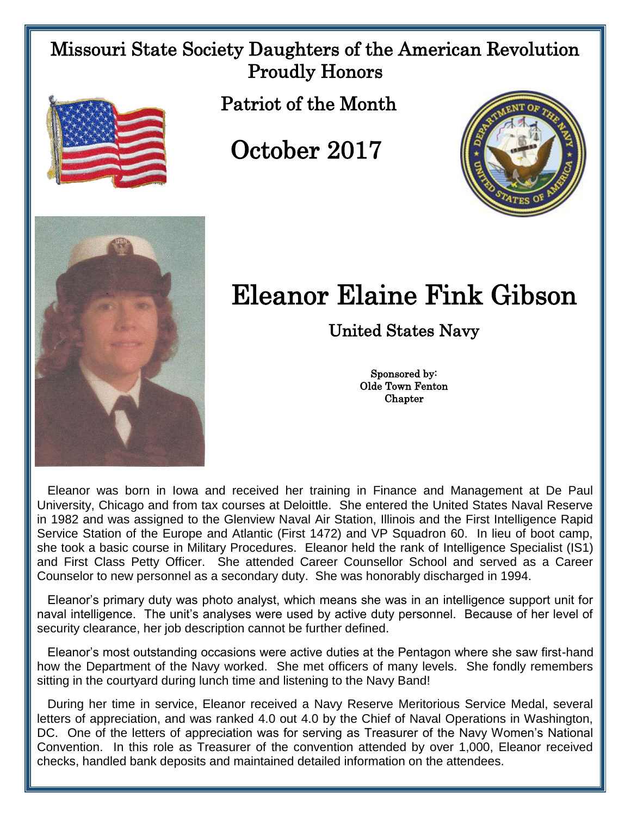## Missouri State Society Daughters of the American Revolution Proudly Honors



Patriot of the Month

October 2017





## Eleanor Elaine Fink Gibson

United States Navy

Sponsored by: Olde Town Fenton **Chapter** 

 Eleanor was born in Iowa and received her training in Finance and Management at De Paul University, Chicago and from tax courses at Deloittle. She entered the United States Naval Reserve in 1982 and was assigned to the Glenview Naval Air Station, Illinois and the First Intelligence Rapid Service Station of the Europe and Atlantic (First 1472) and VP Squadron 60. In lieu of boot camp, she took a basic course in Military Procedures. Eleanor held the rank of Intelligence Specialist (IS1) and First Class Petty Officer. She attended Career Counsellor School and served as a Career Counselor to new personnel as a secondary duty. She was honorably discharged in 1994.

 Eleanor's primary duty was photo analyst, which means she was in an intelligence support unit for naval intelligence. The unit's analyses were used by active duty personnel. Because of her level of security clearance, her job description cannot be further defined.

 Eleanor's most outstanding occasions were active duties at the Pentagon where she saw first-hand how the Department of the Navy worked. She met officers of many levels. She fondly remembers sitting in the courtyard during lunch time and listening to the Navy Band!

 During her time in service, Eleanor received a Navy Reserve Meritorious Service Medal, several letters of appreciation, and was ranked 4.0 out 4.0 by the Chief of Naval Operations in Washington, DC. One of the letters of appreciation was for serving as Treasurer of the Navy Women's National Convention. In this role as Treasurer of the convention attended by over 1,000, Eleanor received checks, handled bank deposits and maintained detailed information on the attendees.